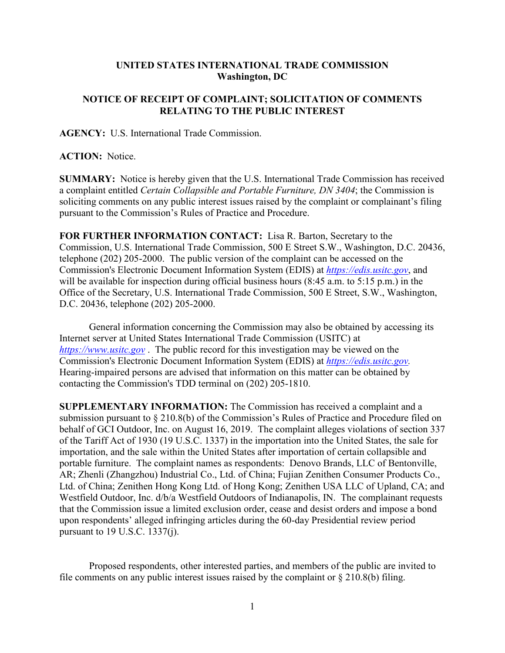## **UNITED STATES INTERNATIONAL TRADE COMMISSION Washington, DC**

## **NOTICE OF RECEIPT OF COMPLAINT; SOLICITATION OF COMMENTS RELATING TO THE PUBLIC INTEREST**

**AGENCY:** U.S. International Trade Commission.

## **ACTION:** Notice.

**SUMMARY:** Notice is hereby given that the U.S. International Trade Commission has received a complaint entitled *Certain Collapsible and Portable Furniture, DN 3404*; the Commission is soliciting comments on any public interest issues raised by the complaint or complainant's filing pursuant to the Commission's Rules of Practice and Procedure.

**FOR FURTHER INFORMATION CONTACT:** Lisa R. Barton, Secretary to the Commission, U.S. International Trade Commission, 500 E Street S.W., Washington, D.C. 20436, telephone (202) 205-2000. The public version of the complaint can be accessed on the Commission's Electronic Document Information System (EDIS) at *[https://edis.usitc.gov](https://edis.usitc.gov/)*, and will be available for inspection during official business hours (8:45 a.m. to 5:15 p.m.) in the Office of the Secretary, U.S. International Trade Commission, 500 E Street, S.W., Washington, D.C. 20436, telephone (202) 205-2000.

General information concerning the Commission may also be obtained by accessing its Internet server at United States International Trade Commission (USITC) at *[https://www.usitc.gov](https://www.usitc.gov/)* . The public record for this investigation may be viewed on the Commission's Electronic Document Information System (EDIS) at *[https://edis.usitc.gov.](https://edis.usitc.gov/)* Hearing-impaired persons are advised that information on this matter can be obtained by contacting the Commission's TDD terminal on (202) 205-1810.

**SUPPLEMENTARY INFORMATION:** The Commission has received a complaint and a submission pursuant to § 210.8(b) of the Commission's Rules of Practice and Procedure filed on behalf of GCI Outdoor, Inc. on August 16, 2019. The complaint alleges violations of section 337 of the Tariff Act of 1930 (19 U.S.C. 1337) in the importation into the United States, the sale for importation, and the sale within the United States after importation of certain collapsible and portable furniture. The complaint names as respondents: Denovo Brands, LLC of Bentonville, AR; Zhenli (Zhangzhou) Industrial Co., Ltd. of China; Fujian Zenithen Consumer Products Co., Ltd. of China; Zenithen Hong Kong Ltd. of Hong Kong; Zenithen USA LLC of Upland, CA; and Westfield Outdoor, Inc. d/b/a Westfield Outdoors of Indianapolis, IN. The complainant requests that the Commission issue a limited exclusion order, cease and desist orders and impose a bond upon respondents' alleged infringing articles during the 60-day Presidential review period pursuant to 19 U.S.C. 1337(j).

Proposed respondents, other interested parties, and members of the public are invited to file comments on any public interest issues raised by the complaint or § 210.8(b) filing.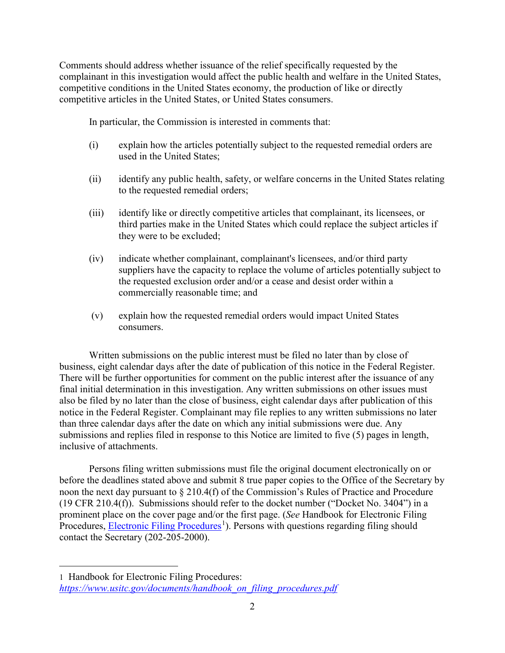Comments should address whether issuance of the relief specifically requested by the complainant in this investigation would affect the public health and welfare in the United States, competitive conditions in the United States economy, the production of like or directly competitive articles in the United States, or United States consumers.

In particular, the Commission is interested in comments that:

- (i) explain how the articles potentially subject to the requested remedial orders are used in the United States;
- (ii) identify any public health, safety, or welfare concerns in the United States relating to the requested remedial orders;
- (iii) identify like or directly competitive articles that complainant, its licensees, or third parties make in the United States which could replace the subject articles if they were to be excluded;
- (iv) indicate whether complainant, complainant's licensees, and/or third party suppliers have the capacity to replace the volume of articles potentially subject to the requested exclusion order and/or a cease and desist order within a commercially reasonable time; and
- (v) explain how the requested remedial orders would impact United States consumers.

Written submissions on the public interest must be filed no later than by close of business, eight calendar days after the date of publication of this notice in the Federal Register. There will be further opportunities for comment on the public interest after the issuance of any final initial determination in this investigation. Any written submissions on other issues must also be filed by no later than the close of business, eight calendar days after publication of this notice in the Federal Register. Complainant may file replies to any written submissions no later than three calendar days after the date on which any initial submissions were due. Any submissions and replies filed in response to this Notice are limited to five (5) pages in length, inclusive of attachments.

Persons filing written submissions must file the original document electronically on or before the deadlines stated above and submit 8 true paper copies to the Office of the Secretary by noon the next day pursuant to § 210.4(f) of the Commission's Rules of Practice and Procedure (19 CFR 210.4(f)). Submissions should refer to the docket number ("Docket No. 3404") in a prominent place on the cover page and/or the first page. (*See* Handbook for Electronic Filing Procedures, **Electronic Filing Procedures**<sup>[1](#page-1-0)</sup>). Persons with questions regarding filing should contact the Secretary (202-205-2000).

 $\overline{a}$ 

<span id="page-1-0"></span><sup>1</sup> Handbook for Electronic Filing Procedures: *[https://www.usitc.gov/documents/handbook\\_on\\_filing\\_procedures.pdf](https://www.usitc.gov/documents/handbook_on_filing_procedures.pdf)*